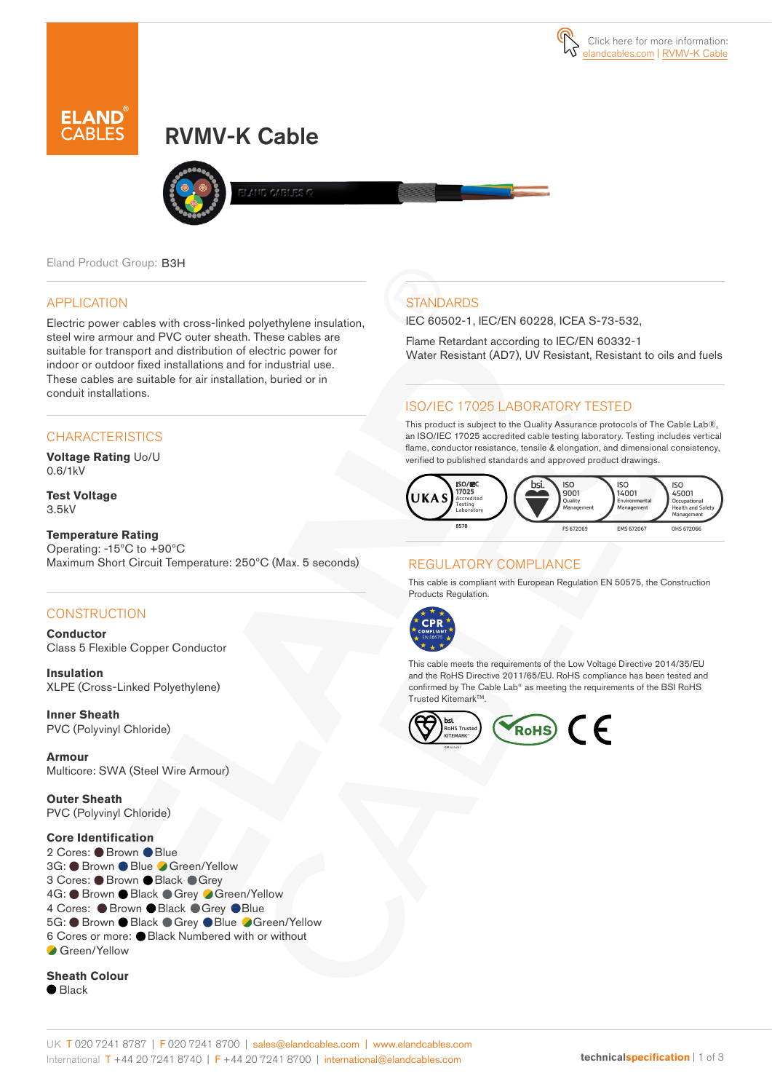

# RVMV-K Cable



AND CARLES O

Eland Product Group: B3H

### APPLICATION

Electric power cables with cross-linked polyethylene insulation, steel wire armour and PVC outer sheath. These cables are suitable for transport and distribution of electric power for indoor or outdoor fixed installations and for industrial use. These cables are suitable for air installation, buried or in conduit installations.

## **CHARACTERISTICS**

**Voltage Rating** Uo/U 0.6/1kV

**Test Voltage** 3.5kV

#### **Temperature Rating**

Operating: -15ºC to +90ºC Maximum Short Circuit Temperature: 250ºC (Max. 5 seconds)

### **CONSTRUCTION**

**Conductor** Class 5 Flexible Copper Conductor

**Insulation** XLPE (Cross-Linked Polyethylene)

**Inner Sheath** PVC (Polyvinyl Chloride)

**Armour** Multicore: SWA (Steel Wire Armour)

**Outer Sheath** PVC (Polyvinyl Chloride)

#### **Core Identification**

2 Cores: Brown Blue 3G: ● Brown ● Blue ● Green/Yellow 3 Cores: ● Brown ● Black ● Grey 4G: ● Brown ● Black ● Grey ● Green/Yellow 4 Cores: Brown Black Grey Blue 5G: ● Brown ● Black ● Grey ● Blue ● Green/Yellow 6 Cores or more: Black Numbered with or without Green/Yellow

#### **Sheath Colour**

 $\bullet$  Black

# **STANDARDS**

IEC 60502-1, IEC/EN 60228, ICEA S-73-532,

Flame Retardant according to IEC/EN 60332-1 Water Resistant (AD7), UV Resistant, Resistant to oils and fuels

# ISO/IEC 17025 LABORATORY TESTED

This product is subject to the Quality Assurance protocols of The Cable Lab®, an ISO/IEC 17025 accredited cable testing laboratory. Testing includes vertical flame, conductor resistance, tensile & elongation, and dimensional consistency, verified to published standards and approved product drawings.



## REGULATORY COMPLIANCE

This cable is compliant with European Regulation EN 50575, the Construction Products Regulation.



This cable meets the requirements of the Low Voltage Directive 2014/35/EU and the RoHS Directive 2011/65/EU. RoHS compliance has been tested and confirmed by The Cable Lab® as meeting the requirements of the BSI RoHS Trusted Kitemark<sup>™</sup>.

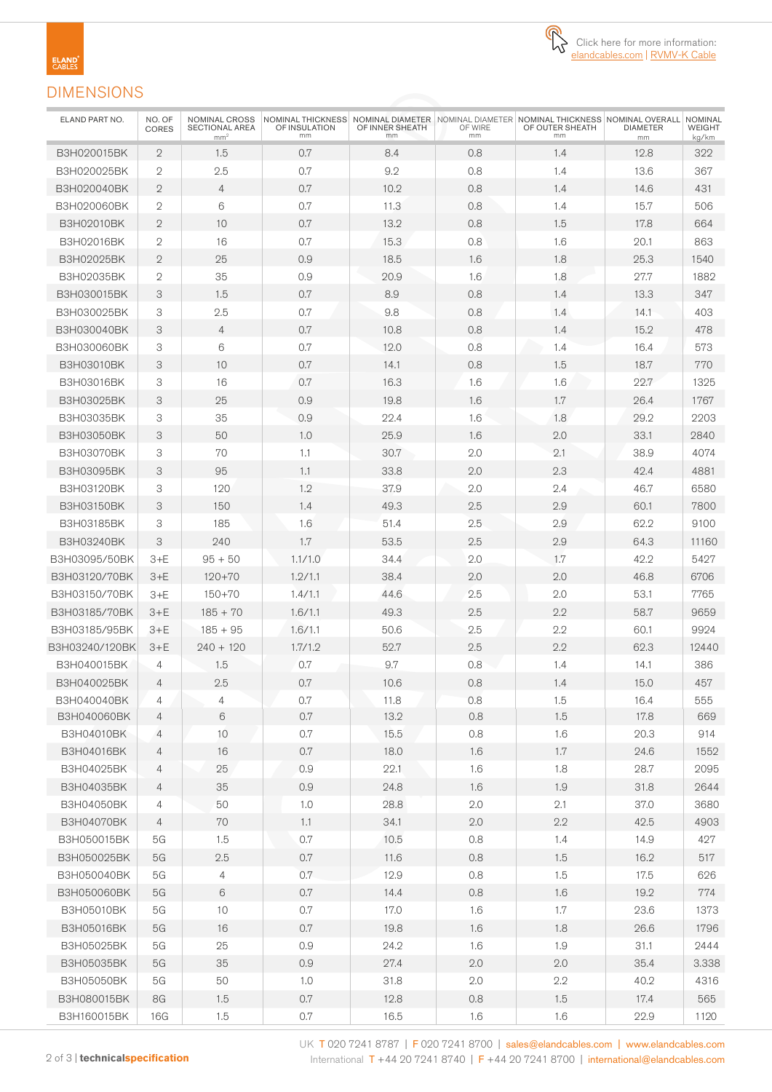

# DIMENSIONS

**ELAND**<br>CABLES

| ELAND PART NO.    | NO. OF<br><b>CORES</b> | NOMINAL CROSS<br>SECTIONAL AREA<br>mm <sup>2</sup> | OF INSULATION<br>mm | OF INNER SHEATH<br>mm | OF WIRE<br>mm | NOMINAL THICKNESS NOMINAL DIAMETER NOMINAL DIAMETER NOMINAL THICKNESS NOMINAL OVERALL NOMINAL<br>OF OUTER SHEATH<br>mm | <b>DIAMETER</b><br>mm | <b>WEIGHT</b><br>kg/km |
|-------------------|------------------------|----------------------------------------------------|---------------------|-----------------------|---------------|------------------------------------------------------------------------------------------------------------------------|-----------------------|------------------------|
| B3H020015BK       | $\overline{2}$         | 1.5                                                | 0.7                 | 8.4                   | 0.8           | 1.4                                                                                                                    | 12.8                  | 322                    |
| B3H020025BK       | $\mathfrak{2}$         | 2.5                                                | 0.7                 | 9.2                   | 0.8           | 1.4                                                                                                                    | 13.6                  | 367                    |
| B3H020040BK       | $\mathbf{2}$           | $\overline{4}$                                     | 0.7                 | 10.2                  | 0.8           | 1.4                                                                                                                    | 14.6                  | 431                    |
| B3H020060BK       | $\mathfrak{2}$         | 6                                                  | 0.7                 | 11.3                  | 0.8           | 1.4                                                                                                                    | 15.7                  | 506                    |
| B3H02010BK        | $\mathbf{2}$           | 10                                                 | 0.7                 | 13.2                  | 0.8           | 1.5                                                                                                                    | 17.8                  | 664                    |
| B3H02016BK        | $\overline{2}$         | 16                                                 | 0.7                 | 15.3                  | 0.8           | 1.6                                                                                                                    | 20.1                  | 863                    |
| B3H02025BK        | $\mathbf{2}$           | 25                                                 | 0.9                 | 18.5                  | 1.6           | 1.8                                                                                                                    | 25.3                  | 1540                   |
| B3H02035BK        | $\mathfrak{2}$         | 35                                                 | 0.9                 | 20.9                  | 1.6           | 1.8                                                                                                                    | 27.7                  | 1882                   |
| B3H030015BK       | 3                      | 1.5                                                | 0.7                 | 8.9                   | 0.8           | 1.4                                                                                                                    | 13.3                  | 347                    |
| B3H030025BK       | 3                      | 2.5                                                | 0.7                 | 9.8                   | 0.8           | 1.4                                                                                                                    | 14.1                  | 403                    |
| B3H030040BK       | 3                      | $\overline{4}$                                     | 0.7                 | 10.8                  | 0.8           | 1.4                                                                                                                    | 15.2                  | 478                    |
| B3H030060BK       | 3                      | 6                                                  | 0.7                 | 12.0                  | 0.8           | 1.4                                                                                                                    | 16.4                  | 573                    |
| <b>B3H03010BK</b> | 3                      | 10                                                 | 0.7                 | 14.1                  | 0.8           | 1.5                                                                                                                    | 18.7                  | 770                    |
| B3H03016BK        | 3                      | 16                                                 | 0.7                 | 16.3                  | 1.6           | 1.6                                                                                                                    | 22.7                  | 1325                   |
| B3H03025BK        | 3                      | 25                                                 | 0.9                 | 19.8                  | 1.6           | 1.7                                                                                                                    | 26.4                  | 1767                   |
| <b>B3H03035BK</b> | 3                      | 35                                                 | 0.9                 | 22.4                  | 1.6           | 1.8                                                                                                                    | 29.2                  | 2203                   |
| <b>B3H03050BK</b> | 3                      | 50                                                 | 1.0                 | 25.9                  | 1.6           | 2.0                                                                                                                    | 33.1                  | 2840                   |
| <b>B3H03070BK</b> | 3                      | 70                                                 | 1.1                 | 30.7                  | 2.0           | 2.1                                                                                                                    | 38.9                  | 4074                   |
| B3H03095BK        | 3                      | 95                                                 | 1.1                 | 33.8                  | 2.0           | 2.3                                                                                                                    | 42.4                  | 4881                   |
| B3H03120BK        | 3                      | 120                                                | 1.2                 | 37.9                  | 2.0           | 2.4                                                                                                                    | 46.7                  | 6580                   |
| <b>B3H03150BK</b> | 3                      | 150                                                | 1.4                 | 49.3                  | 2.5           | 2.9                                                                                                                    | 60.1                  | 7800                   |
| <b>B3H03185BK</b> | 3                      | 185                                                | 1.6                 | 51.4                  | 2.5           | 2.9                                                                                                                    | 62.2                  | 9100                   |
| B3H03240BK        | 3                      | 240                                                | 1.7                 | 53.5                  | 2.5           | 2.9                                                                                                                    | 64.3                  | 11160                  |
| B3H03095/50BK     | $3+E$                  | $95 + 50$                                          | 1.1/1.0             | 34.4                  | 2.0           | 1.7                                                                                                                    | 42.2                  | 5427                   |
| B3H03120/70BK     | $3+E$                  | $120 + 70$                                         | 1.2/1.1             | 38.4                  | 2.0           | 2.0                                                                                                                    | 46.8                  | 6706                   |
| B3H03150/70BK     | $3+E$                  | $150 + 70$                                         | 1.4/1.1             | 44.6                  | 2.5           | 2.0                                                                                                                    | 53.1                  | 7765                   |
| B3H03185/70BK     |                        | $185 + 70$                                         | 1.6/1.1             | 49.3                  | 2.5           | 2.2                                                                                                                    | 58.7                  | 9659                   |
| B3H03185/95BK     | $3+E$<br>$3+E$         | $185 + 95$                                         | 1.6/1.1             | 50.6                  | 2.5           | 2.2                                                                                                                    | 60.1                  | 9924                   |
| B3H03240/120BK    | $3+E$                  | $240 + 120$                                        | 1.7/1.2             | 52.7                  | 2.5           | 2.2                                                                                                                    | 62.3                  | 12440                  |
| B3H040015BK       | 4                      | 1.5                                                | 0.7                 | 9.7                   | 0.8           | 1.4                                                                                                                    | 14.1                  | 386                    |
| B3H040025BK       | $\overline{4}$         | 2.5                                                | 0.7                 | 10.6                  | 0.8           | 1.4                                                                                                                    | 15.0                  | 457                    |
| B3H040040BK       | 4                      | 4                                                  | 0.7                 | 11.8                  | 0.8           | 1.5                                                                                                                    | 16.4                  | 555                    |
| B3H040060BK       | 4                      | 6                                                  | 0.7                 | 13.2                  | 0.8           | 1.5                                                                                                                    | 17.8                  | 669                    |
| B3H04010BK        | $\overline{4}$         | 10                                                 | 0.7                 | 15.5                  | 0.8           | 1.6                                                                                                                    | 20.3                  | 914                    |
| B3H04016BK        | 4                      | 16                                                 | 0.7                 | 18.0                  | 1.6           | 1.7                                                                                                                    | 24.6                  | 1552                   |
| B3H04025BK        | 4                      | 25                                                 | 0.9                 | 22.1                  | 1.6           | 1.8                                                                                                                    | 28.7                  | 2095                   |
| B3H04035BK        | 4                      | 35                                                 | 0.9                 | 24.8                  | 1.6           | 1.9                                                                                                                    | 31.8                  | 2644                   |
| B3H04050BK        | 4                      | 50                                                 | 1.0                 | 28.8                  | 2.0           | 2.1                                                                                                                    | 37.0                  | 3680                   |
| B3H04070BK        | 4                      | 70                                                 | 1.1                 | 34.1                  | 2.0           | $2.2\,$                                                                                                                | 42.5                  | 4903                   |
| B3H050015BK       | 5G                     | 1.5                                                | $0.7\,$             | 10.5                  | $0.8\,$       | 1.4                                                                                                                    | 14.9                  | 427                    |
| B3H050025BK       | 5G                     | 2.5                                                | 0.7                 | 11.6                  | 0.8           | 1.5                                                                                                                    | 16.2                  | 517                    |
| B3H050040BK       | 5G                     | 4                                                  | 0.7                 | 12.9                  | 0.8           | 1.5                                                                                                                    | 17.5                  | 626                    |
| B3H050060BK       | 5G                     | $6\,$                                              | 0.7                 | 14.4                  | $0.8\,$       | 1.6                                                                                                                    | 19.2                  | 774                    |
| B3H05010BK        | 5G                     | 10                                                 | $0.7\,$             | 17.0                  | 1.6           | 1.7                                                                                                                    | 23.6                  | 1373                   |
| B3H05016BK        | 5G                     | 16                                                 | 0.7                 | 19.8                  | 1.6           | 1.8                                                                                                                    | 26.6                  | 1796                   |
| B3H05025BK        | 5G                     | 25                                                 | 0.9                 | 24.2                  | 1.6           | 1.9                                                                                                                    | 31.1                  | 2444                   |
| B3H05035BK        | 5G                     | 35                                                 | 0.9                 | 27.4                  | 2.0           | 2.0                                                                                                                    | 35.4                  | 3.338                  |
| B3H05050BK        | 5G                     | 50                                                 | 1.0                 | 31.8                  | 2.0           | $2.2\,$                                                                                                                | 40.2                  | 4316                   |
| B3H080015BK       | 8G                     | 1.5                                                | $0.7\,$             | 12.8                  | $0.8\,$       | 1.5                                                                                                                    | 17.4                  | 565                    |
| B3H160015BK       | 16G                    | 1.5                                                | 0.7                 | 16.5                  | 1.6           | 1.6                                                                                                                    | 22.9                  | 1120                   |
|                   |                        |                                                    |                     |                       |               |                                                                                                                        |                       |                        |

UK T 020 7241 8787 | F 020 7241 8700 | sales@elandcables.com | www.elandcables.com 2 of 3 | **technicalspecification** International T +44 20 7241 8740 | F +44 20 7241 8700 | international@elandcables.com